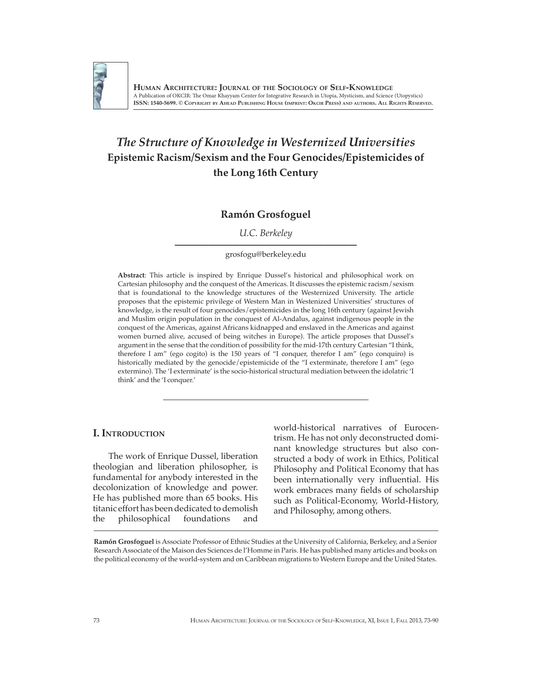

**Human Architecture: Journal of the Sociology of Self-Knowledge ISSN: 1540-5699. © Copyright by Ahead Publishing House (imprint: Okcir Press) and authors. All Rights Reserved.** A Publication of OKCIR: The Omar Khayyam Center for Integrative Research in Utopia, Mysticism, and Science (Utopystics)

# *The Structure of Knowledge in Westernized Universities* **Epistemic Racism/Sexism and the Four Genocides/Epistemicides of the Long 16th Century**

### **Ramón Grosfoguel**

*U.C. Berkeley*

#### **––––––––––––––––––––––––––––––––––––––** grosfogu@berkeley.edu

**Abstract**: This article is inspired by Enrique Dussel's historical and philosophical work on Cartesian philosophy and the conquest of the Americas. It discusses the epistemic racism/sexism that is foundational to the knowledge structures of the Westernized University. The article proposes that the epistemic privilege of Western Man in Westenized Universities' structures of knowledge, is the result of four genocides/epistemicides in the long 16th century (against Jewish and Muslim origin population in the conquest of Al-Andalus, against indigenous people in the conquest of the Americas, against Africans kidnapped and enslaved in the Americas and against women burned alive, accused of being witches in Europe). The article proposes that Dussel's argument in the sense that the condition of possibility for the mid-17th century Cartesian "I think, therefore I am" (ego cogito) is the 150 years of "I conquer, therefor I am" (ego conquiro) is historically mediated by the genocide/epistemicide of the "I exterminate, therefore I am" (ego extermino). The 'I exterminate' is the socio-historical structural mediation between the idolatric 'I think' and the 'I conquer.'

#### **I. Introduction**

The work of Enrique Dussel, liberation theologian and liberation philosopher, is fundamental for anybody interested in the decolonization of knowledge and power. He has published more than 65 books. His titanic effort has been dedicated to demolish the philosophical foundations and world-historical narratives of Eurocentrism. He has not only deconstructed dominant knowledge structures but also constructed a body of work in Ethics, Political Philosophy and Political Economy that has been internationally very influential. His work embraces many fields of scholarship such as Political-Economy, World-History, and Philosophy, among others.

**Ramón Grosfoguel** is Associate Professor of Ethnic Studies at the University of California, Berkeley, and a Senior Research Associate of the Maison des Sciences de l'Homme in Paris. He has published many articles and books on the political economy of the world-system and on Caribbean migrations to Western Europe and the United States.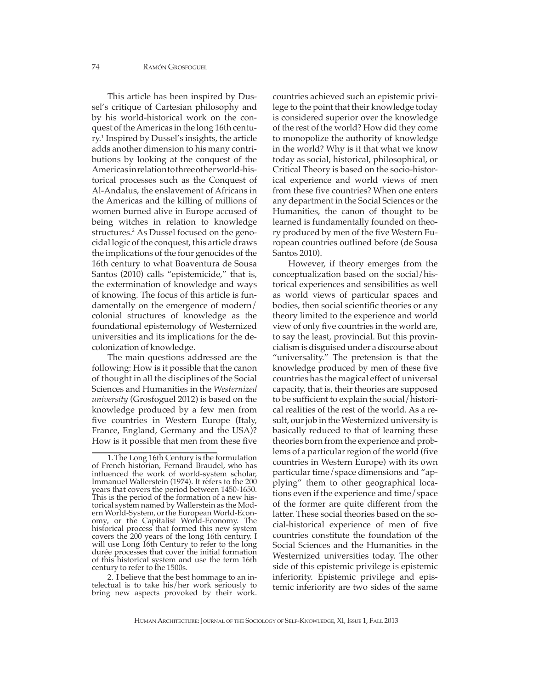This article has been inspired by Dussel's critique of Cartesian philosophy and by his world-historical work on the conquest of the Americas in the long 16th century.<sup>1</sup> Inspired by Dussel's insights, the article adds another dimension to his many contributions by looking at the conquest of the Americas in relation to three other world-historical processes such as the Conquest of Al-Andalus, the enslavement of Africans in the Americas and the killing of millions of women burned alive in Europe accused of being witches in relation to knowledge structures.<sup>2</sup> As Dussel focused on the genocidal logic of the conquest, this article draws the implications of the four genocides of the 16th century to what Boaventura de Sousa Santos (2010) calls "epistemicide," that is, the extermination of knowledge and ways of knowing. The focus of this article is fundamentally on the emergence of modern/ colonial structures of knowledge as the foundational epistemology of Westernized universities and its implications for the decolonization of knowledge.

The main questions addressed are the following: How is it possible that the canon of thought in all the disciplines of the Social Sciences and Humanities in the *Westernized university* (Grosfoguel 2012) is based on the knowledge produced by a few men from five countries in Western Europe (Italy, France, England, Germany and the USA)? How is it possible that men from these five

2. I believe that the best hommage to an intelectual is to take his/her work seriously to bring new aspects provoked by their work. countries achieved such an epistemic privilege to the point that their knowledge today is considered superior over the knowledge of the rest of the world? How did they come to monopolize the authority of knowledge in the world? Why is it that what we know today as social, historical, philosophical, or Critical Theory is based on the socio-historical experience and world views of men from these five countries? When one enters any department in the Social Sciences or the Humanities, the canon of thought to be learned is fundamentally founded on theory produced by men of the five Western European countries outlined before (de Sousa Santos 2010).

However, if theory emerges from the conceptualization based on the social/historical experiences and sensibilities as well as world views of particular spaces and bodies, then social scientific theories or any theory limited to the experience and world view of only five countries in the world are, to say the least, provincial. But this provincialism is disguised under a discourse about "universality." The pretension is that the knowledge produced by men of these five countries has the magical effect of universal capacity, that is, their theories are supposed to be sufficient to explain the social/historical realities of the rest of the world. As a result, our job in the Westernized university is basically reduced to that of learning these theories born from the experience and problems of a particular region of the world (five countries in Western Europe) with its own particular time/space dimensions and "applying" them to other geographical locations even if the experience and time/space of the former are quite different from the latter. These social theories based on the social-historical experience of men of five countries constitute the foundation of the Social Sciences and the Humanities in the Westernized universities today. The other side of this epistemic privilege is epistemic inferiority. Epistemic privilege and epistemic inferiority are two sides of the same

<sup>1.</sup>The Long 16th Century is the formulation of French historian, Fernand Braudel, who has influenced the work of world-system scholar, Immanuel Wallerstein (1974). It refers to the 200 years that covers the period between 1450-1650. This is the period of the formation of a new historical system named by Wallerstein as the Modern World-System, or the European World-Economy, or the Capitalist World-Economy. The historical process that formed this new system covers the 200 years of the long 16th century. I will use Long 16th Century to refer to the long durée processes that cover the initial formation of this historical system and use the term 16th century to refer to the 1500s.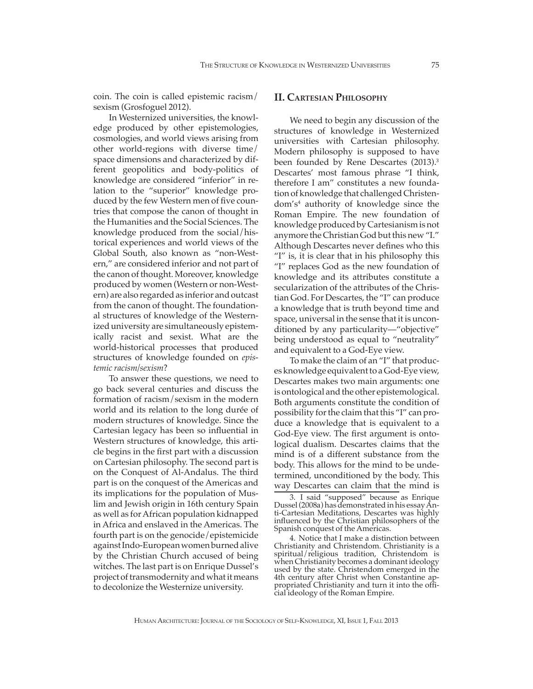coin. The coin is called epistemic racism/ sexism (Grosfoguel 2012).

In Westernized universities, the knowledge produced by other epistemologies, cosmologies, and world views arising from other world-regions with diverse time/ space dimensions and characterized by different geopolitics and body-politics of knowledge are considered "inferior" in relation to the "superior" knowledge produced by the few Western men of five countries that compose the canon of thought in the Humanities and the Social Sciences. The knowledge produced from the social/historical experiences and world views of the Global South, also known as "non-Western," are considered inferior and not part of the canon of thought. Moreover, knowledge produced by women (Western or non-Western) are also regarded as inferior and outcast from the canon of thought. The foundational structures of knowledge of the Westernized university are simultaneously epistemically racist and sexist. What are the world-historical processes that produced structures of knowledge founded on *epistemic racism/sexism*?

To answer these questions, we need to go back several centuries and discuss the formation of racism/sexism in the modern world and its relation to the long durée of modern structures of knowledge. Since the Cartesian legacy has been so influential in Western structures of knowledge, this article begins in the first part with a discussion on Cartesian philosophy. The second part is on the Conquest of Al-Andalus. The third part is on the conquest of the Americas and its implications for the population of Muslim and Jewish origin in 16th century Spain as well as for African population kidnapped in Africa and enslaved in the Americas. The fourth part is on the genocide/epistemicide against Indo-European women burned alive by the Christian Church accused of being witches. The last part is on Enrique Dussel's project of transmodernity and what it means to decolonize the Westernize university.

#### **II. Cartesian Philosophy**

We need to begin any discussion of the structures of knowledge in Westernized universities with Cartesian philosophy. Modern philosophy is supposed to have been founded by Rene Descartes (2013).<sup>3</sup> Descartes' most famous phrase "I think, therefore I am" constitutes a new foundation of knowledge that challenged Christendom's<sup>4</sup> authority of knowledge since the Roman Empire. The new foundation of knowledge produced by Cartesianism is not anymore the Christian God but this new "I." Although Descartes never defines who this "I" is, it is clear that in his philosophy this "I" replaces God as the new foundation of knowledge and its attributes constitute a secularization of the attributes of the Christian God. For Descartes, the "I" can produce a knowledge that is truth beyond time and space, universal in the sense that it is unconditioned by any particularity—"objective" being understood as equal to "neutrality" and equivalent to a God-Eye view.

To make the claim of an "I" that produces knowledge equivalent to a God-Eye view, Descartes makes two main arguments: one is ontological and the other epistemological. Both arguments constitute the condition of possibility for the claim that this "I" can produce a knowledge that is equivalent to a God-Eye view. The first argument is ontological dualism. Descartes claims that the mind is of a different substance from the body. This allows for the mind to be undetermined, unconditioned by the body. This way Descartes can claim that the mind is

<sup>3.</sup> I said "supposed" because as Enrique Dussel (2008a) has demonstrated in his essay Anti-Cartesian Meditations, Descartes was highly influenced by the Christian philosophers of the Spanish conquest of the Americas.

<sup>4.</sup> Notice that I make a distinction between Christianity and Christendom. Christianity is a spiritual/religious tradition, Christendom is when Christianity becomes a dominant ideology used by the state. Christendom emerged in the 4th century after Christ when Constantine appropriated Christianity and turn it into the official ideology of the Roman Empire.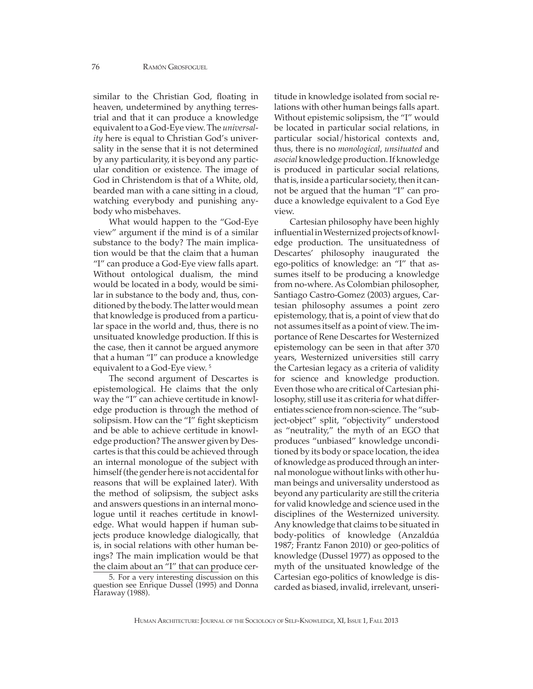similar to the Christian God, floating in heaven, undetermined by anything terrestrial and that it can produce a knowledge equivalent to a God-Eye view. The *universality* here is equal to Christian God's universality in the sense that it is not determined by any particularity, it is beyond any particular condition or existence. The image of God in Christendom is that of a White, old, bearded man with a cane sitting in a cloud, watching everybody and punishing anybody who misbehaves.

What would happen to the "God-Eye view" argument if the mind is of a similar substance to the body? The main implication would be that the claim that a human "I" can produce a God-Eye view falls apart. Without ontological dualism, the mind would be located in a body, would be similar in substance to the body and, thus, conditioned by the body. The latter would mean that knowledge is produced from a particular space in the world and, thus, there is no unsituated knowledge production. If this is the case, then it cannot be argued anymore that a human "I" can produce a knowledge equivalent to a God-Eye view. <sup>5</sup>

The second argument of Descartes is epistemological. He claims that the only way the "I" can achieve certitude in knowledge production is through the method of solipsism. How can the "I" fight skepticism and be able to achieve certitude in knowledge production? The answer given by Descartes is that this could be achieved through an internal monologue of the subject with himself (the gender here is not accidental for reasons that will be explained later). With the method of solipsism, the subject asks and answers questions in an internal monologue until it reaches certitude in knowledge. What would happen if human subjects produce knowledge dialogically, that is, in social relations with other human beings? The main implication would be that the claim about an "I" that can produce cer-

5. For a very interesting discussion on this question see Enrique Dussel (1995) and Donna Haraway (1988).

titude in knowledge isolated from social relations with other human beings falls apart. Without epistemic solipsism, the "I" would be located in particular social relations, in particular social/historical contexts and, thus, there is no *monological*, *unsituated* and *asocial* knowledge production. If knowledge is produced in particular social relations, that is, inside a particular society, then it cannot be argued that the human "I" can produce a knowledge equivalent to a God Eye view.

Cartesian philosophy have been highly influential in Westernized projects of knowledge production. The unsituatedness of Descartes' philosophy inaugurated the ego-politics of knowledge: an "I" that assumes itself to be producing a knowledge from no-where. As Colombian philosopher, Santiago Castro-Gomez (2003) argues, Cartesian philosophy assumes a point zero epistemology, that is, a point of view that do not assumes itself as a point of view. The importance of Rene Descartes for Westernized epistemology can be seen in that after 370 years, Westernized universities still carry the Cartesian legacy as a criteria of validity for science and knowledge production. Even those who are critical of Cartesian philosophy, still use it as criteria for what differentiates science from non-science. The "subject-object" split, "objectivity" understood as "neutrality," the myth of an EGO that produces "unbiased" knowledge unconditioned by its body or space location, the idea of knowledge as produced through an internal monologue without links with other human beings and universality understood as beyond any particularity are still the criteria for valid knowledge and science used in the disciplines of the Westernized university. Any knowledge that claims to be situated in body-politics of knowledge (Anzaldúa 1987; Frantz Fanon 2010) or geo-politics of knowledge (Dussel 1977) as opposed to the myth of the unsituated knowledge of the Cartesian ego-politics of knowledge is discarded as biased, invalid, irrelevant, unseri-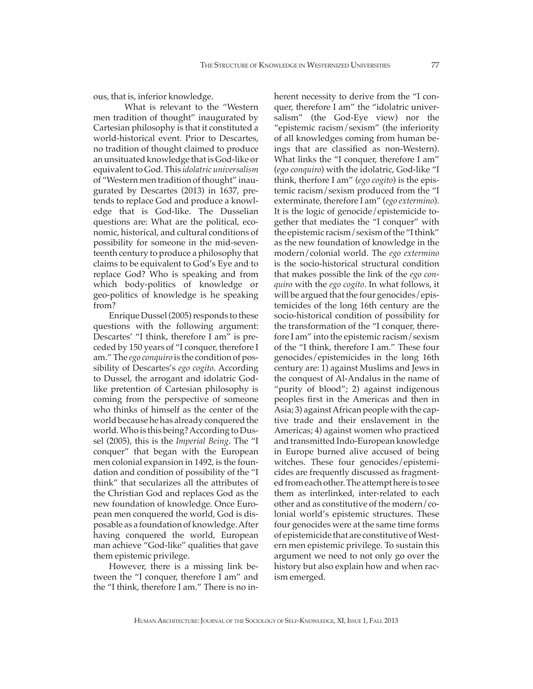ous, that is, inferior knowledge.

What is relevant to the "Western men tradition of thought" inaugurated by Cartesian philosophy is that it constituted a world-historical event. Prior to Descartes, no tradition of thought claimed to produce an unsituated knowledge that is God-like or equivalent to God. This *idolatric universalism* of "Western men tradition of thought" inaugurated by Descartes (2013) in 1637, pretends to replace God and produce a knowledge that is God-like. The Dusselian questions are: What are the political, economic, historical, and cultural conditions of possibility for someone in the mid-seventeenth century to produce a philosophy that claims to be equivalent to God's Eye and to replace God? Who is speaking and from which body-politics of knowledge or geo-politics of knowledge is he speaking from?

Enrique Dussel (2005) responds to these questions with the following argument: Descartes' "I think, therefore I am" is preceded by 150 years of "I conquer, therefore I am." The *ego conquiro* is the condition of possibility of Descartes's *ego cogito*. According to Dussel, the arrogant and idolatric Godlike pretention of Cartesian philosophy is coming from the perspective of someone who thinks of himself as the center of the world because he has already conquered the world. Who is this being? According to Dussel (2005), this is the *Imperial Being*. The "I conquer" that began with the European men colonial expansion in 1492, is the foundation and condition of possibility of the "I think" that secularizes all the attributes of the Christian God and replaces God as the new foundation of knowledge. Once European men conquered the world, God is disposable as a foundation of knowledge. After having conquered the world, European man achieve "God-like" qualities that gave them epistemic privilege.

However, there is a missing link between the "I conquer, therefore I am" and the "I think, therefore I am." There is no inherent necessity to derive from the "I conquer, therefore I am" the "idolatric universalism" (the God-Eye view) nor the "epistemic racism/sexism" (the inferiority of all knowledges coming from human beings that are classified as non-Western). What links the "I conquer, therefore I am" (*ego conquiro*) with the idolatric, God-like "I think, therfore I am" (*ego cogito*) is the epistemic racism/sexism produced from the "I exterminate, therefore I am" (*ego extermino*). It is the logic of genocide/epistemicide together that mediates the "I conquer" with the epistemic racism/sexism of the "I think" as the new foundation of knowledge in the modern/colonial world. The *ego extermino* is the socio-historical structural condition that makes possible the link of the *ego conquiro* with the *ego cogito*. In what follows, it will be argued that the four genocides/epistemicides of the long 16th century are the socio-historical condition of possibility for the transformation of the "I conquer, therefore I am" into the epistemic racism/sexism of the "I think, therefore I am." These four genocides/epistemicides in the long 16th century are: 1) against Muslims and Jews in the conquest of Al-Andalus in the name of "purity of blood"; 2) against indigenous peoples first in the Americas and then in Asia; 3) against African people with the captive trade and their enslavement in the Americas; 4) against women who practiced and transmitted Indo-European knowledge in Europe burned alive accused of being witches. These four genocides/epistemicides are frequently discussed as fragmented from each other. The attempt here is to see them as interlinked, inter-related to each other and as constitutive of the modern/colonial world's epistemic structures. These four genocides were at the same time forms of epistemicide that are constitutive of Western men epistemic privilege. To sustain this argument we need to not only go over the history but also explain how and when racism emerged.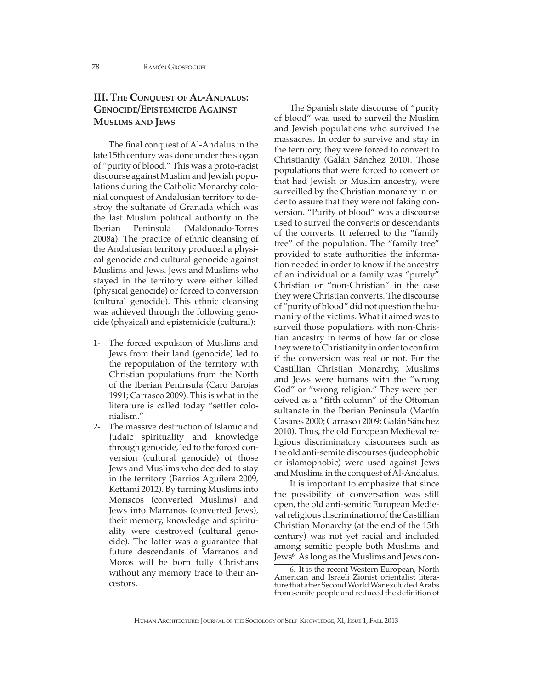### **III. The Conquest of Al-Andalus: Genocide/Epistemicide Against Muslims and Jews**

The final conquest of Al-Andalus in the late 15th century was done under the slogan of "purity of blood." This was a proto-racist discourse against Muslim and Jewish populations during the Catholic Monarchy colonial conquest of Andalusian territory to destroy the sultanate of Granada which was the last Muslim political authority in the Iberian Peninsula (Maldonado-Torres 2008a). The practice of ethnic cleansing of the Andalusian territory produced a physical genocide and cultural genocide against Muslims and Jews. Jews and Muslims who stayed in the territory were either killed (physical genocide) or forced to conversion (cultural genocide). This ethnic cleansing was achieved through the following genocide (physical) and epistemicide (cultural):

- 1- The forced expulsion of Muslims and Jews from their land (genocide) led to the repopulation of the territory with Christian populations from the North of the Iberian Peninsula (Caro Barojas 1991; Carrasco 2009). This is what in the literature is called today "settler colonialism."
- 2- The massive destruction of Islamic and Judaic spirituality and knowledge through genocide, led to the forced conversion (cultural genocide) of those Jews and Muslims who decided to stay in the territory (Barrios Aguilera 2009, Kettami 2012). By turning Muslims into Moriscos (converted Muslims) and Jews into Marranos (converted Jews), their memory, knowledge and spirituality were destroyed (cultural genocide). The latter was a guarantee that future descendants of Marranos and Moros will be born fully Christians without any memory trace to their ancestors.

The Spanish state discourse of "purity of blood" was used to surveil the Muslim and Jewish populations who survived the massacres. In order to survive and stay in the territory, they were forced to convert to Christianity (Galán Sánchez 2010). Those populations that were forced to convert or that had Jewish or Muslim ancestry, were surveilled by the Christian monarchy in order to assure that they were not faking conversion. "Purity of blood" was a discourse used to surveil the converts or descendants of the converts. It referred to the "family tree" of the population. The "family tree" provided to state authorities the information needed in order to know if the ancestry of an individual or a family was "purely" Christian or "non-Christian" in the case they were Christian converts. The discourse of "purity of blood" did not question the humanity of the victims. What it aimed was to surveil those populations with non-Christian ancestry in terms of how far or close they were to Christianity in order to confirm if the conversion was real or not. For the Castillian Christian Monarchy, Muslims and Jews were humans with the "wrong God" or "wrong religion." They were perceived as a "fifth column" of the Ottoman sultanate in the Iberian Peninsula (Martín Casares 2000; Carrasco 2009; Galán Sánchez 2010). Thus, the old European Medieval religious discriminatory discourses such as the old anti-semite discourses (judeophobic or islamophobic) were used against Jews and Muslims in the conquest of Al-Andalus.

It is important to emphasize that since the possibility of conversation was still open, the old anti-semitic European Medieval religious discrimination of the Castillian Christian Monarchy (at the end of the 15th century) was not yet racial and included among semitic people both Muslims and Jews'. As long as the Muslims and Jews con-

<sup>6.</sup> It is the recent Western European, North American and Israeli Zionist orientalist literature that after Second World War excluded Arabs from semite people and reduced the definition of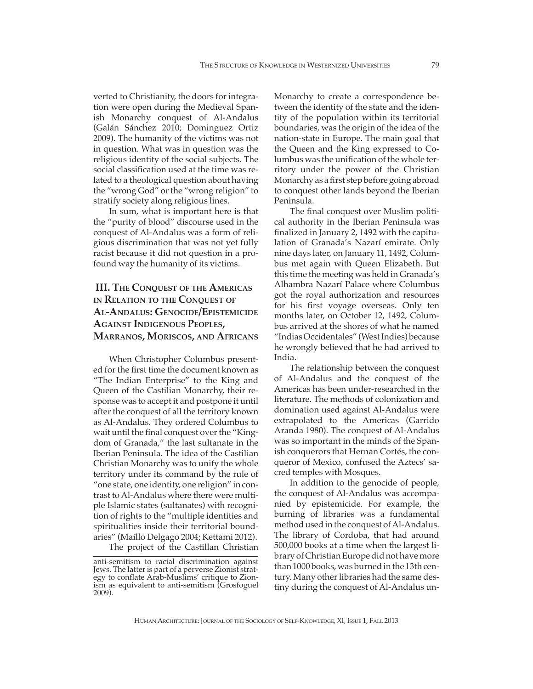verted to Christianity, the doors for integration were open during the Medieval Spanish Monarchy conquest of Al-Andalus (Galán Sánchez 2010; Dominguez Ortiz 2009). The humanity of the victims was not in question. What was in question was the religious identity of the social subjects. The social classification used at the time was related to a theological question about having the "wrong God" or the "wrong religion" to stratify society along religious lines.

In sum, what is important here is that the "purity of blood" discourse used in the conquest of Al-Andalus was a form of religious discrimination that was not yet fully racist because it did not question in a profound way the humanity of its victims.

### **III. The Conquest of the Americas in Relation to the Conquest of Al-Andalus: Genocide/Epistemicide Against Indigenous Peoples, Marranos, Moriscos, and Africans**

When Christopher Columbus presented for the first time the document known as "The Indian Enterprise" to the King and Queen of the Castilian Monarchy, their response was to accept it and postpone it until after the conquest of all the territory known as Al-Andalus. They ordered Columbus to wait until the final conquest over the "Kingdom of Granada," the last sultanate in the Iberian Peninsula. The idea of the Castilian Christian Monarchy was to unify the whole territory under its command by the rule of "one state, one identity, one religion" in contrast to Al-Andalus where there were multiple Islamic states (sultanates) with recognition of rights to the "multiple identities and spiritualities inside their territorial boundaries" (Maíllo Delgago 2004; Kettami 2012).

The project of the Castillan Christian

Monarchy to create a correspondence between the identity of the state and the identity of the population within its territorial boundaries, was the origin of the idea of the nation-state in Europe. The main goal that the Queen and the King expressed to Columbus was the unification of the whole territory under the power of the Christian Monarchy as a first step before going abroad to conquest other lands beyond the Iberian Peninsula.

The final conquest over Muslim political authority in the Iberian Peninsula was finalized in January 2, 1492 with the capitulation of Granada's Nazarí emirate. Only nine days later, on January 11, 1492, Columbus met again with Queen Elizabeth. But this time the meeting was held in Granada's Alhambra Nazarí Palace where Columbus got the royal authorization and resources for his first voyage overseas. Only ten months later, on October 12, 1492, Columbus arrived at the shores of what he named "Indias Occidentales" (West Indies) because he wrongly believed that he had arrived to India.

The relationship between the conquest of Al-Andalus and the conquest of the Americas has been under-researched in the literature. The methods of colonization and domination used against Al-Andalus were extrapolated to the Americas (Garrido Aranda 1980). The conquest of Al-Andalus was so important in the minds of the Spanish conquerors that Hernan Cortés, the conqueror of Mexico, confused the Aztecs' sacred temples with Mosques.

In addition to the genocide of people, the conquest of Al-Andalus was accompanied by epistemicide. For example, the burning of libraries was a fundamental method used in the conquest of Al-Andalus. The library of Cordoba, that had around 500,000 books at a time when the largest library of Christian Europe did not have more than 1000 books, was burned in the 13th century. Many other libraries had the same destiny during the conquest of Al-Andalus un-

anti-semitism to racial discrimination against egy to conflate Arab-Muslims' critique to Zionism as equivalent to anti-semitism (Grosfoguel 2009).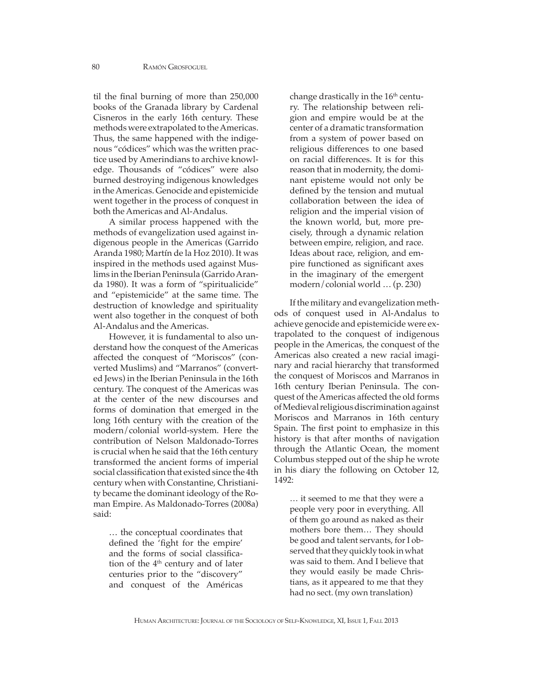til the final burning of more than 250,000 books of the Granada library by Cardenal Cisneros in the early 16th century. These methods were extrapolated to the Americas. Thus, the same happened with the indigenous "códices" which was the written practice used by Amerindians to archive knowledge. Thousands of "códices" were also burned destroying indigenous knowledges in the Americas. Genocide and epistemicide went together in the process of conquest in both the Americas and Al-Andalus.

A similar process happened with the methods of evangelization used against indigenous people in the Americas (Garrido Aranda 1980; Martín de la Hoz 2010). It was inspired in the methods used against Muslims in the Iberian Peninsula (Garrido Aranda 1980). It was a form of "spiritualicide" and "epistemicide" at the same time. The destruction of knowledge and spirituality went also together in the conquest of both Al-Andalus and the Americas.

However, it is fundamental to also understand how the conquest of the Americas affected the conquest of "Moriscos" (converted Muslims) and "Marranos" (converted Jews) in the Iberian Peninsula in the 16th century. The conquest of the Americas was at the center of the new discourses and forms of domination that emerged in the long 16th century with the creation of the modern/colonial world-system. Here the contribution of Nelson Maldonado-Torres is crucial when he said that the 16th century transformed the ancient forms of imperial social classification that existed since the 4th century when with Constantine, Christianity became the dominant ideology of the Roman Empire. As Maldonado-Torres (2008a) said:

… the conceptual coordinates that defined the 'fight for the empire' and the forms of social classification of the  $4<sup>th</sup>$  century and of later centuries prior to the "discovery" and conquest of the Américas

change drastically in the 16<sup>th</sup> century. The relationship between religion and empire would be at the center of a dramatic transformation from a system of power based on religious differences to one based on racial differences. It is for this reason that in modernity, the dominant episteme would not only be defined by the tension and mutual collaboration between the idea of religion and the imperial vision of the known world, but, more precisely, through a dynamic relation between empire, religion, and race. Ideas about race, religion, and empire functioned as significant axes in the imaginary of the emergent modern/colonial world … (p. 230)

If the military and evangelization methods of conquest used in Al-Andalus to achieve genocide and epistemicide were extrapolated to the conquest of indigenous people in the Americas, the conquest of the Americas also created a new racial imaginary and racial hierarchy that transformed the conquest of Moriscos and Marranos in 16th century Iberian Peninsula. The conquest of the Americas affected the old forms of Medieval religious discrimination against Moriscos and Marranos in 16th century Spain. The first point to emphasize in this history is that after months of navigation through the Atlantic Ocean, the moment Columbus stepped out of the ship he wrote in his diary the following on October 12, 1492:

… it seemed to me that they were a people very poor in everything. All of them go around as naked as their mothers bore them… They should be good and talent servants, for I observed that they quickly took in what was said to them. And I believe that they would easily be made Christians, as it appeared to me that they had no sect. (my own translation)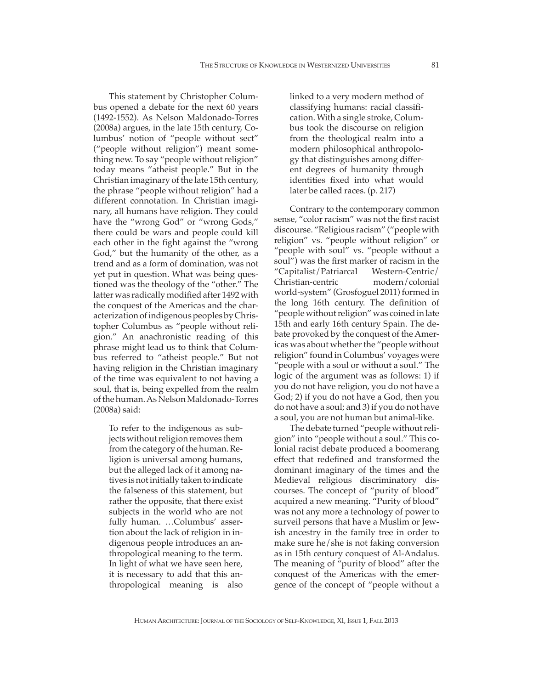This statement by Christopher Columbus opened a debate for the next 60 years (1492-1552). As Nelson Maldonado-Torres (2008a) argues, in the late 15th century, Columbus' notion of "people without sect" ("people without religion") meant something new. To say "people without religion" today means "atheist people." But in the Christian imaginary of the late 15th century, the phrase "people without religion" had a different connotation. In Christian imaginary, all humans have religion. They could have the "wrong God" or "wrong Gods," there could be wars and people could kill each other in the fight against the "wrong God," but the humanity of the other, as a trend and as a form of domination, was not yet put in question. What was being questioned was the theology of the "other." The latter was radically modified after 1492 with the conquest of the Americas and the characterization of indigenous peoples by Christopher Columbus as "people without religion." An anachronistic reading of this phrase might lead us to think that Columbus referred to "atheist people." But not having religion in the Christian imaginary of the time was equivalent to not having a soul, that is, being expelled from the realm of the human. As Nelson Maldonado-Torres (2008a) said:

To refer to the indigenous as subjects without religion removes them from the category of the human. Religion is universal among humans, but the alleged lack of it among natives is not initially taken to indicate the falseness of this statement, but rather the opposite, that there exist subjects in the world who are not fully human. …Columbus' assertion about the lack of religion in indigenous people introduces an anthropological meaning to the term. In light of what we have seen here, it is necessary to add that this anthropological meaning is also

linked to a very modern method of classifying humans: racial classification. With a single stroke, Columbus took the discourse on religion from the theological realm into a modern philosophical anthropology that distinguishes among different degrees of humanity through identities fixed into what would later be called races. (p. 217)

Contrary to the contemporary common sense, "color racism" was not the first racist discourse. "Religious racism" ("people with religion" vs. "people without religion" or "people with soul" vs. "people without a soul") was the first marker of racism in the "Capitalist/Patriarcal Western-Centric/ Christian-centric modern/colonial world-system" (Grosfoguel 2011) formed in the long 16th century. The definition of "people without religion" was coined in late 15th and early 16th century Spain. The debate provoked by the conquest of the Americas was about whether the "people without religion" found in Columbus' voyages were "people with a soul or without a soul." The logic of the argument was as follows: 1) if you do not have religion, you do not have a God; 2) if you do not have a God, then you do not have a soul; and 3) if you do not have a soul, you are not human but animal-like.

The debate turned "people without religion" into "people without a soul." This colonial racist debate produced a boomerang effect that redefined and transformed the dominant imaginary of the times and the Medieval religious discriminatory discourses. The concept of "purity of blood" acquired a new meaning. "Purity of blood" was not any more a technology of power to surveil persons that have a Muslim or Jewish ancestry in the family tree in order to make sure he/she is not faking conversion as in 15th century conquest of Al-Andalus. The meaning of "purity of blood" after the conquest of the Americas with the emergence of the concept of "people without a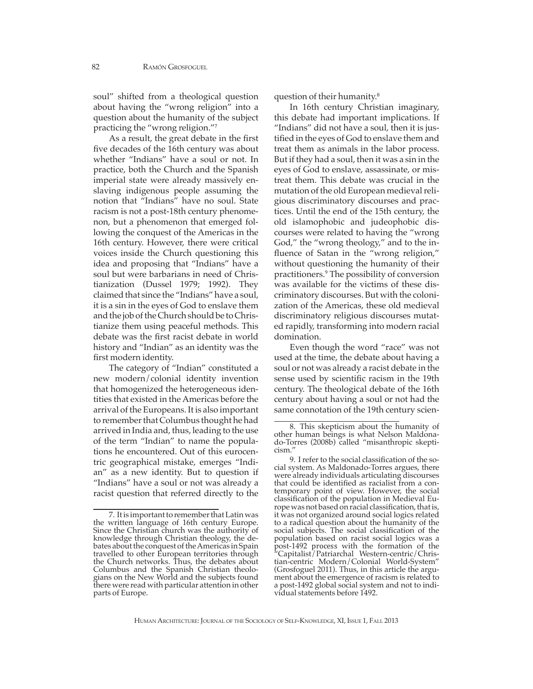soul" shifted from a theological question about having the "wrong religion" into a question about the humanity of the subject practicing the "wrong religion."<sup>7</sup>

As a result, the great debate in the first five decades of the 16th century was about whether "Indians" have a soul or not. In practice, both the Church and the Spanish imperial state were already massively enslaving indigenous people assuming the notion that "Indians" have no soul. State racism is not a post-18th century phenomenon, but a phenomenon that emerged following the conquest of the Americas in the 16th century. However, there were critical voices inside the Church questioning this idea and proposing that "Indians" have a soul but were barbarians in need of Christianization (Dussel 1979; 1992). They claimed that since the "Indians" have a soul, it is a sin in the eyes of God to enslave them and the job of the Church should be to Christianize them using peaceful methods. This debate was the first racist debate in world history and "Indian" as an identity was the first modern identity.

The category of "Indian" constituted a new modern/colonial identity invention that homogenized the heterogeneous identities that existed in the Americas before the arrival of the Europeans. It is also important to remember that Columbus thought he had arrived in India and, thus, leading to the use of the term "Indian" to name the populations he encountered. Out of this eurocentric geographical mistake, emerges "Indian" as a new identity. But to question if "Indians" have a soul or not was already a racist question that referred directly to the

question of their humanity.<sup>8</sup>

In 16th century Christian imaginary, this debate had important implications. If "Indians" did not have a soul, then it is justified in the eyes of God to enslave them and treat them as animals in the labor process. But if they had a soul, then it was a sin in the eyes of God to enslave, assassinate, or mistreat them. This debate was crucial in the mutation of the old European medieval religious discriminatory discourses and practices. Until the end of the 15th century, the old islamophobic and judeophobic discourses were related to having the "wrong God," the "wrong theology," and to the influence of Satan in the "wrong religion," without questioning the humanity of their practitioners.<sup>9</sup> The possibility of conversion was available for the victims of these discriminatory discourses. But with the colonization of the Americas, these old medieval discriminatory religious discourses mutated rapidly, transforming into modern racial domination.

Even though the word "race" was not used at the time, the debate about having a soul or not was already a racist debate in the sense used by scientific racism in the 19th century. The theological debate of the 16th century about having a soul or not had the same connotation of the 19th century scien-

<sup>7.</sup> It is important to remember that Latin was the written language of 16th century Europe. Since the Christian church was the authority of knowledge through Christian theology, the debates about the conquest of the Americas in Spain travelled to other European territories through the Church networks. Thus, the debates about gians on the New World and the subjects found there were read with particular attention in other parts of Europe.

<sup>8.</sup> This skepticism about the humanity of other human beings is what Nelson Maldona-do-Torres (2008b) called "misanthropic skepticism."

<sup>9.</sup> I refer to the social classification of the social system. As Maldonado-Torres argues, there were already individuals articulating discourses that could be identified as racialist from a contemporary point of view. However, the social classification of the population in Medieval Europe was not based on racial classification, that is, it was not organized around social logics related to a radical question about the humanity of the social subjects. The social classification of the population based on racist social logics was a post-1492 process with the formation of the "Capitalist/Patriarchal Western-centric/Christian-centric Modern/Colonial World-System"<br>(Grosfoguel 2011). Thus, in this article the argument about the emergence of racism is related to a post-1492 global social system and not to individual statements before 1492.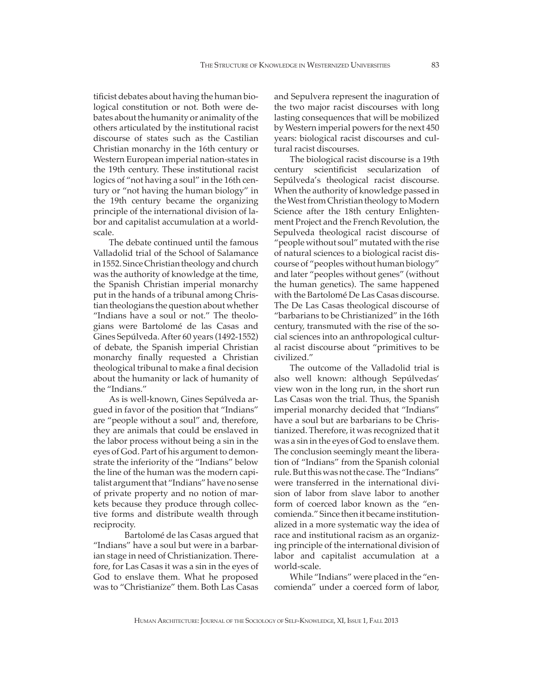tificist debates about having the human biological constitution or not. Both were debates about the humanity or animality of the others articulated by the institutional racist discourse of states such as the Castilian Christian monarchy in the 16th century or Western European imperial nation-states in the 19th century. These institutional racist logics of "not having a soul" in the 16th century or "not having the human biology" in the 19th century became the organizing principle of the international division of labor and capitalist accumulation at a worldscale.

The debate continued until the famous Valladolid trial of the School of Salamance in 1552. Since Christian theology and church was the authority of knowledge at the time, the Spanish Christian imperial monarchy put in the hands of a tribunal among Christian theologians the question about whether "Indians have a soul or not." The theologians were Bartolomé de las Casas and Gines Sepúlveda. After 60 years (1492-1552) of debate, the Spanish imperial Christian monarchy finally requested a Christian theological tribunal to make a final decision about the humanity or lack of humanity of the "Indians."

As is well-known, Gines Sepúlveda argued in favor of the position that "Indians" are "people without a soul" and, therefore, they are animals that could be enslaved in the labor process without being a sin in the eyes of God. Part of his argument to demonstrate the inferiority of the "Indians" below the line of the human was the modern capitalist argument that "Indians" have no sense of private property and no notion of markets because they produce through collective forms and distribute wealth through reciprocity.

Bartolomé de las Casas argued that "Indians" have a soul but were in a barbarian stage in need of Christianization. Therefore, for Las Casas it was a sin in the eyes of God to enslave them. What he proposed was to "Christianize" them. Both Las Casas

and Sepulvera represent the inaguration of the two major racist discourses with long lasting consequences that will be mobilized by Western imperial powers for the next 450 years: biological racist discourses and cultural racist discourses.

The biological racist discourse is a 19th century scientificist secularization of Sepúlveda's theological racist discourse. When the authority of knowledge passed in the West from Christian theology to Modern Science after the 18th century Enlightenment Project and the French Revolution, the Sepulveda theological racist discourse of "people without soul" mutated with the rise of natural sciences to a biological racist discourse of "peoples without human biology" and later "peoples without genes" (without the human genetics). The same happened with the Bartolomé De Las Casas discourse. The De Las Casas theological discourse of "barbarians to be Christianized" in the 16th century, transmuted with the rise of the social sciences into an anthropological cultural racist discourse about "primitives to be civilized."

The outcome of the Valladolid trial is also well known: although Sepúlvedas' view won in the long run, in the short run Las Casas won the trial. Thus, the Spanish imperial monarchy decided that "Indians" have a soul but are barbarians to be Christianized. Therefore, it was recognized that it was a sin in the eyes of God to enslave them. The conclusion seemingly meant the liberation of "Indians" from the Spanish colonial rule. But this was not the case. The "Indians" were transferred in the international division of labor from slave labor to another form of coerced labor known as the "encomienda." Since then it became institutionalized in a more systematic way the idea of race and institutional racism as an organizing principle of the international division of labor and capitalist accumulation at a world-scale.

While "Indians" were placed in the "encomienda" under a coerced form of labor,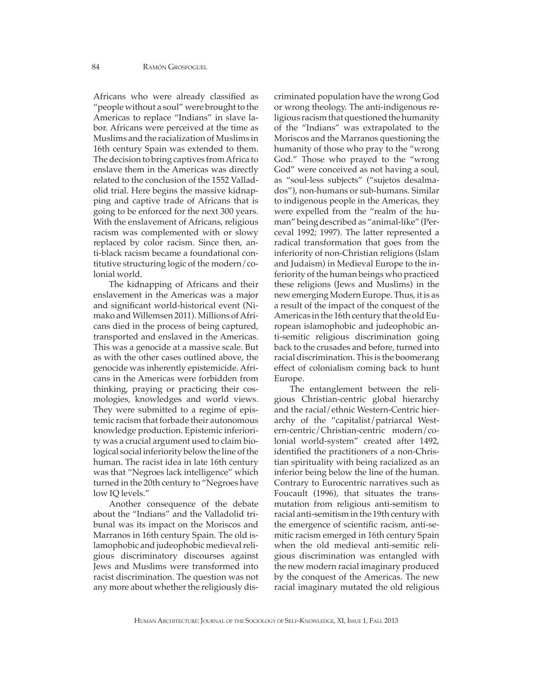Africans who were already classified as "people without a soul" were brought to the Americas to replace "Indians" in slave labor. Africans were perceived at the time as Muslims and the racialization of Muslims in 16th century Spain was extended to them. The decision to bring captives from Africa to enslave them in the Americas was directly related to the conclusion of the 1552 Valladolid trial. Here begins the massive kidnapping and captive trade of Africans that is going to be enforced for the next 300 years. With the enslavement of Africans, religious racism was complemented with or slowy replaced by color racism. Since then, anti-black racism became a foundational contitutive structuring logic of the modern/colonial world.

The kidnapping of Africans and their enslavement in the Americas was a major and significant world-historical event (Nimako and Willemsen 2011). Millions of Africans died in the process of being captured, transported and enslaved in the Americas. This was a genocide at a massive scale. But as with the other cases outlined above, the genocide was inherently epistemicide. Africans in the Americas were forbidden from thinking, praying or practicing their cosmologies, knowledges and world views. They were submitted to a regime of epistemic racism that forbade their autonomous knowledge production. Epistemic inferiority was a crucial argument used to claim biological social inferiority below the line of the human. The racist idea in late 16th century was that "Negroes lack intelligence" which turned in the 20th century to "Negroes have low IQ levels."

Another consequence of the debate about the "Indians" and the Valladolid tribunal was its impact on the Moriscos and Marranos in 16th century Spain. The old islamophobic and judeophobic medieval religious discriminatory discourses against Jews and Muslims were transformed into racist discrimination. The question was not any more about whether the religiously discriminated population have the wrong God or wrong theology. The anti-indigenous religious racism that questioned the humanity of the "Indians" was extrapolated to the Moriscos and the Marranos questioning the humanity of those who pray to the "wrong God." Those who prayed to the "wrong God" were conceived as not having a soul, as "soul-less subjects" ("sujetos desalmados"), non-humans or sub-humans. Similar to indigenous people in the Americas, they were expelled from the "realm of the human" being described as "animal-like" (Perceval 1992; 1997). The latter represented a radical transformation that goes from the inferiority of non-Christian religions (Islam and Judaism) in Medieval Europe to the inferiority of the human beings who practiced these religions (Jews and Muslims) in the new emerging Modern Europe. Thus, it is as a result of the impact of the conquest of the Americas in the 16th century that the old European islamophobic and judeophobic anti-semitic religious discrimination going back to the crusades and before, turned into racial discrimination. This is the boomerang effect of colonialism coming back to hunt Europe.

The entanglement between the religious Christian-centric global hierarchy and the racial/ethnic Western-Centric hierarchy of the "capitalist/patriarcal Western-centric/Christian-centric modern/colonial world-system" created after 1492, identified the practitioners of a non-Christian spirituality with being racialized as an inferior being below the line of the human. Contrary to Eurocentric narratives such as Foucault (1996), that situates the transmutation from religious anti-semitism to racial anti-semitism in the 19th century with the emergence of scientific racism, anti-semitic racism emerged in 16th century Spain when the old medieval anti-semitic religious discrimination was entangled with the new modern racial imaginary produced by the conquest of the Americas. The new racial imaginary mutated the old religious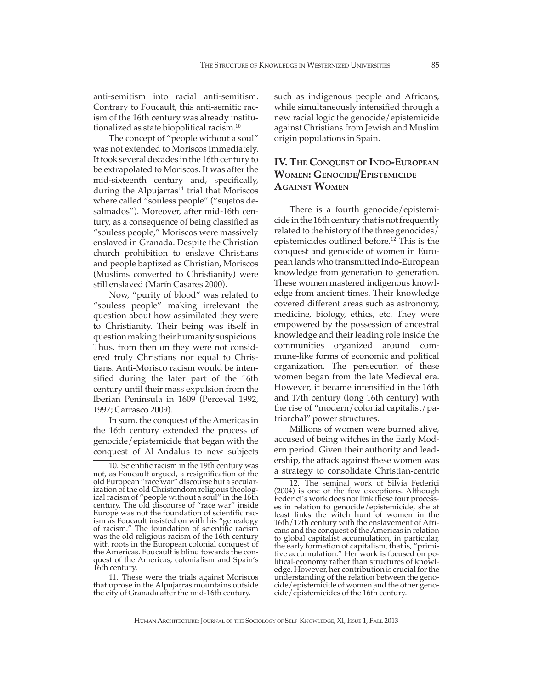anti-semitism into racial anti-semitism. Contrary to Foucault, this anti-semitic racism of the 16th century was already institutionalized as state biopolitical racism.<sup>10</sup>

The concept of "people without a soul" was not extended to Moriscos immediately. It took several decades in the 16th century to be extrapolated to Moriscos. It was after the mid-sixteenth century and, specifically, during the Alpujarras<sup>11</sup> trial that Moriscos where called "souless people" ("sujetos desalmados"). Moreover, after mid-16th century, as a consequence of being classified as "souless people," Moriscos were massively enslaved in Granada. Despite the Christian church prohibition to enslave Christians and people baptized as Christian, Moriscos (Muslims converted to Christianity) were still enslaved (Marín Casares 2000).

Now, "purity of blood" was related to "souless people" making irrelevant the question about how assimilated they were to Christianity. Their being was itself in question making their humanity suspicious. Thus, from then on they were not considered truly Christians nor equal to Christians. Anti-Morisco racism would be intensified during the later part of the 16th century until their mass expulsion from the Iberian Peninsula in 1609 (Perceval 1992, 1997; Carrasco 2009).

In sum, the conquest of the Americas in the 16th century extended the process of genocide/epistemicide that began with the conquest of Al-Andalus to new subjects

11. These were the trials against Moriscos that uprose in the Alpujarras mountains outside the city of Granada after the mid-16th century.

such as indigenous people and Africans, while simultaneously intensified through a new racial logic the genocide/epistemicide against Christians from Jewish and Muslim origin populations in Spain.

### **IV. The Conquest of Indo-European Women: Genocide/Epistemicide Against Women**

There is a fourth genocide/epistemicide in the 16th century that is not frequently related to the history of the three genocides/ epistemicides outlined before.12 This is the conquest and genocide of women in European lands who transmitted Indo-European knowledge from generation to generation. These women mastered indigenous knowledge from ancient times. Their knowledge covered different areas such as astronomy, medicine, biology, ethics, etc. They were empowered by the possession of ancestral knowledge and their leading role inside the communities organized around commune-like forms of economic and political organization. The persecution of these women began from the late Medieval era. However, it became intensified in the 16th and 17th century (long 16th century) with the rise of "modern/colonial capitalist/patriarchal" power structures.

Millions of women were burned alive, accused of being witches in the Early Modern period. Given their authority and leadership, the attack against these women was a strategy to consolidate Christian-centric

<sup>10.</sup> Scientific racism in the 19th century was not, as Foucault argued, a resignification of the ization of the old Christendom religious theological racism of "people without a soul" in the 16th century. The old discourse of "race war" inside Europe was not the foundation of scientific racism as Foucault insisted on with his "genealogy of racism." The foundation of scientific racism was the old religious racism of the 16th century with roots in the European colonial conquest of the Americas. Foucault is blind towards the conquest of the Americas, colonialism and Spain's 16th century.

<sup>12.</sup> The seminal work of Silvia Federici (2004) is one of the few exceptions. Although Federici's work does not link these four processes in relation to genocide/epistemicide, she at least links the witch hunt of women in the 16th/17th century with the enslavement of Africans and the conquest of the Americas in relation to global capitalist accumulation, in particular, the early formation of capitalism, that is, "primitive accumulation." Her work is focused on political-economy rather than structures of knowledge. However, her contribution is crucial for the understanding of the relation between the genocide/epistemicide of women and the other genocide/epistemicides of the 16th century.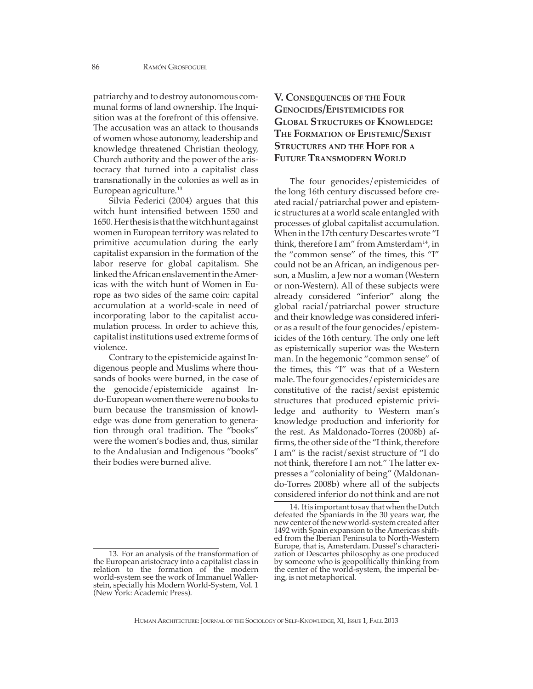patriarchy and to destroy autonomous communal forms of land ownership. The Inquisition was at the forefront of this offensive. The accusation was an attack to thousands of women whose autonomy, leadership and knowledge threatened Christian theology, Church authority and the power of the aristocracy that turned into a capitalist class transnationally in the colonies as well as in European agriculture.<sup>13</sup>

Silvia Federici (2004) argues that this witch hunt intensified between 1550 and 1650. Her thesis is that the witch hunt against women in European territory was related to primitive accumulation during the early capitalist expansion in the formation of the labor reserve for global capitalism. She linked the African enslavement in the Americas with the witch hunt of Women in Europe as two sides of the same coin: capital accumulation at a world-scale in need of incorporating labor to the capitalist accumulation process. In order to achieve this, capitalist institutions used extreme forms of violence.

Contrary to the epistemicide against Indigenous people and Muslims where thousands of books were burned, in the case of the genocide/epistemicide against Indo-European women there were no books to burn because the transmission of knowledge was done from generation to generation through oral tradition. The "books" were the women's bodies and, thus, similar to the Andalusian and Indigenous "books" their bodies were burned alive.

## **V. Consequences of the Four Genocides/Epistemicides for Global Structures of Knowledge: The Formation of Epistemic/Sexist Structures and the Hope for a Future Transmodern World**

The four genocides/epistemicides of the long 16th century discussed before created racial/patriarchal power and epistemic structures at a world scale entangled with processes of global capitalist accumulation. When in the 17th century Descartes wrote "I think, therefore I am" from Amsterdam<sup>14</sup>, in the "common sense" of the times, this "I" could not be an African, an indigenous person, a Muslim, a Jew nor a woman (Western or non-Western). All of these subjects were already considered "inferior" along the global racial/patriarchal power structure and their knowledge was considered inferior as a result of the four genocides/epistemicides of the 16th century. The only one left as epistemically superior was the Western man. In the hegemonic "common sense" of the times, this "I" was that of a Western male. The four genocides/epistemicides are constitutive of the racist/sexist epistemic structures that produced epistemic priviledge and authority to Western man's knowledge production and inferiority for the rest. As Maldonado-Torres (2008b) affirms, the other side of the "I think, therefore I am" is the racist/sexist structure of "I do not think, therefore I am not." The latter expresses a "coloniality of being" (Maldonando-Torres 2008b) where all of the subjects considered inferior do not think and are not

<sup>13.</sup> For an analysis of the transformation of the European aristocracy into a capitalist class in relation to the formation of the modern world-system see the work of Immanuel Wallerstein, specially his Modern World-System, Vol. 1 (New York: Academic Press).

<sup>14.</sup> It is important to say that when the Dutch defeated the Spaniards in the 30 years war, the new center of the new world-system created after 1492 with Spain expansion to the Americas shifted from the Iberian Peninsula to North-Western Europe, that is, Amsterdam. Dussel's characterization of Descartes philosophy as one produced by someone who is geopolitically thinking from the center of the world-system, the imperial be- ing, is not metaphorical.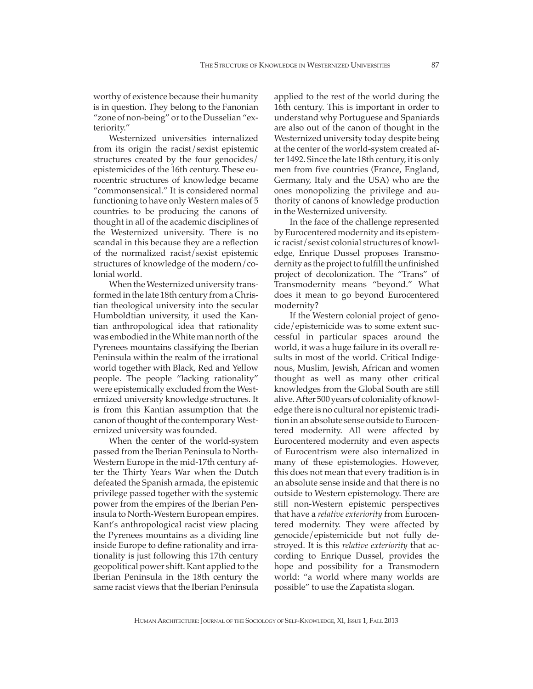worthy of existence because their humanity is in question. They belong to the Fanonian "zone of non-being" or to the Dusselian "exteriority."

Westernized universities internalized from its origin the racist/sexist epistemic structures created by the four genocides/ epistemicides of the 16th century. These eurocentric structures of knowledge became "commonsensical." It is considered normal functioning to have only Western males of 5 countries to be producing the canons of thought in all of the academic disciplines of the Westernized university. There is no scandal in this because they are a reflection of the normalized racist/sexist epistemic structures of knowledge of the modern/colonial world.

When the Westernized university transformed in the late 18th century from a Christian theological university into the secular Humboldtian university, it used the Kantian anthropological idea that rationality was embodied in the White man north of the Pyrenees mountains classifying the Iberian Peninsula within the realm of the irrational world together with Black, Red and Yellow people. The people "lacking rationality" were epistemically excluded from the Westernized university knowledge structures. It is from this Kantian assumption that the canon of thought of the contemporary Westernized university was founded.

When the center of the world-system passed from the Iberian Peninsula to North-Western Europe in the mid-17th century after the Thirty Years War when the Dutch defeated the Spanish armada, the epistemic privilege passed together with the systemic power from the empires of the Iberian Peninsula to North-Western European empires. Kant's anthropological racist view placing the Pyrenees mountains as a dividing line inside Europe to define rationality and irrationality is just following this 17th century geopolitical power shift. Kant applied to the Iberian Peninsula in the 18th century the same racist views that the Iberian Peninsula

applied to the rest of the world during the 16th century. This is important in order to understand why Portuguese and Spaniards are also out of the canon of thought in the Westernized university today despite being at the center of the world-system created after 1492. Since the late 18th century, it is only men from five countries (France, England, Germany, Italy and the USA) who are the ones monopolizing the privilege and authority of canons of knowledge production in the Westernized university.

In the face of the challenge represented by Eurocentered modernity and its epistemic racist/sexist colonial structures of knowledge, Enrique Dussel proposes Transmodernity as the project to fulfill the unfinished project of decolonization. The "Trans" of Transmodernity means "beyond." What does it mean to go beyond Eurocentered modernity?

If the Western colonial project of genocide/epistemicide was to some extent successful in particular spaces around the world, it was a huge failure in its overall results in most of the world. Critical Indigenous, Muslim, Jewish, African and women thought as well as many other critical knowledges from the Global South are still alive. After 500 years of coloniality of knowledge there is no cultural nor epistemic tradition in an absolute sense outside to Eurocentered modernity. All were affected by Eurocentered modernity and even aspects of Eurocentrism were also internalized in many of these epistemologies. However, this does not mean that every tradition is in an absolute sense inside and that there is no outside to Western epistemology. There are still non-Western epistemic perspectives that have a *relative exteriority* from Eurocentered modernity. They were affected by genocide/epistemicide but not fully destroyed. It is this *relative exteriority* that according to Enrique Dussel, provides the hope and possibility for a Transmodern world: "a world where many worlds are possible" to use the Zapatista slogan.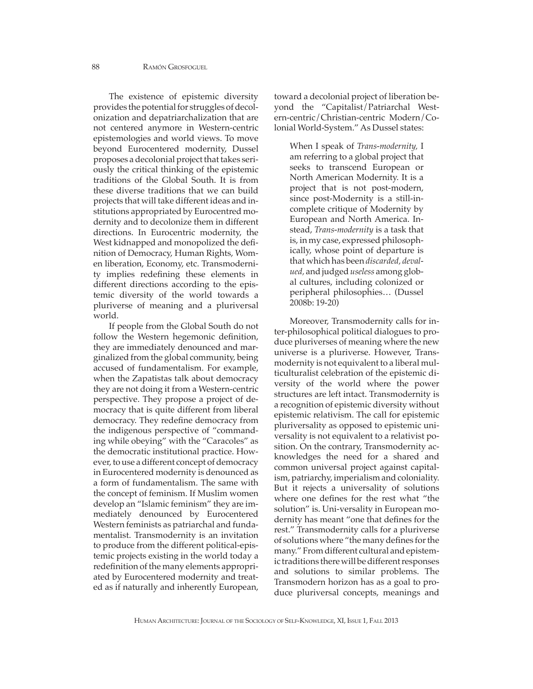The existence of epistemic diversity provides the potential for struggles of decolonization and depatriarchalization that are not centered anymore in Western-centric epistemologies and world views. To move beyond Eurocentered modernity, Dussel proposes a decolonial project that takes seriously the critical thinking of the epistemic traditions of the Global South. It is from these diverse traditions that we can build projects that will take different ideas and institutions appropriated by Eurocentred modernity and to decolonize them in different directions. In Eurocentric modernity, the West kidnapped and monopolized the definition of Democracy, Human Rights, Women liberation, Economy, etc. Transmodernity implies redefining these elements in different directions according to the epistemic diversity of the world towards a pluriverse of meaning and a pluriversal world.

If people from the Global South do not follow the Western hegemonic definition, they are immediately denounced and marginalized from the global community, being accused of fundamentalism. For example, when the Zapatistas talk about democracy they are not doing it from a Western-centric perspective. They propose a project of democracy that is quite different from liberal democracy. They redefine democracy from the indigenous perspective of "commanding while obeying" with the "Caracoles" as the democratic institutional practice. However, to use a different concept of democracy in Eurocentered modernity is denounced as a form of fundamentalism. The same with the concept of feminism. If Muslim women develop an "Islamic feminism" they are immediately denounced by Eurocentered Western feminists as patriarchal and fundamentalist. Transmodernity is an invitation to produce from the different political-epistemic projects existing in the world today a redefinition of the many elements appropriated by Eurocentered modernity and treated as if naturally and inherently European,

toward a decolonial project of liberation beyond the "Capitalist/Patriarchal Western-centric/Christian-centric Modern/Colonial World-System." As Dussel states:

When I speak of *Trans-modernity,* I am referring to a global project that seeks to transcend European or North American Modernity. It is a project that is not post-modern, since post-Modernity is a still-incomplete critique of Modernity by European and North America. Instead, *Trans-modernity* is a task that is, in my case, expressed philosophically, whose point of departure is that which has been *discarded, devalued,* and judged *useless* among global cultures, including colonized or peripheral philosophies… (Dussel 2008b: 19-20)

Moreover, Transmodernity calls for inter-philosophical political dialogues to produce pluriverses of meaning where the new universe is a pluriverse. However, Transmodernity is not equivalent to a liberal multiculturalist celebration of the epistemic diversity of the world where the power structures are left intact. Transmodernity is a recognition of epistemic diversity without epistemic relativism. The call for epistemic pluriversality as opposed to epistemic universality is not equivalent to a relativist position. On the contrary, Transmodernity acknowledges the need for a shared and common universal project against capitalism, patriarchy, imperialism and coloniality. But it rejects a universality of solutions where one defines for the rest what "the solution" is. Uni-versality in European modernity has meant "one that defines for the rest." Transmodernity calls for a pluriverse of solutions where "the many defines for the many." From different cultural and epistemic traditions there will be different responses and solutions to similar problems. The Transmodern horizon has as a goal to produce pluriversal concepts, meanings and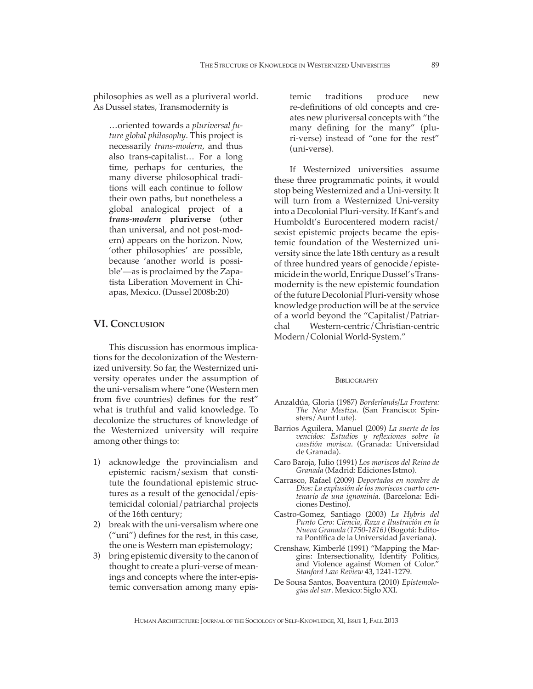philosophies as well as a pluriveral world. As Dussel states, Transmodernity is

…oriented towards a *pluriversal future global philosophy*. This project is necessarily *trans*-*modern*, and thus also trans-capitalist… For a long time, perhaps for centuries, the many diverse philosophical traditions will each continue to follow their own paths, but nonetheless a global analogical project of a *trans*-*modern* **pluriverse** (other than universal, and not post-modern) appears on the horizon. Now, 'other philosophies' are possible, because 'another world is possible'—as is proclaimed by the Zapatista Liberation Movement in Chiapas, Mexico. (Dussel 2008b:20)

#### **VI. Conclusion**

This discussion has enormous implications for the decolonization of the Westernized university. So far, the Westernized university operates under the assumption of the uni-versalism where "one (Western men from five countries) defines for the rest" what is truthful and valid knowledge. To decolonize the structures of knowledge of the Westernized university will require among other things to:

- 1) acknowledge the provincialism and epistemic racism/sexism that constitute the foundational epistemic structures as a result of the genocidal/epistemicidal colonial/patriarchal projects of the 16th century;
- 2) break with the uni-versalism where one ("uni") defines for the rest, in this case, the one is Western man epistemology;
- 3) bring epistemic diversity to the canon of thought to create a pluri-verse of meanings and concepts where the inter-epistemic conversation among many epis-

temic traditions produce new re-definitions of old concepts and creates new pluriversal concepts with "the many defining for the many" (pluri-verse) instead of "one for the rest" (uni-verse).

If Westernized universities assume these three programmatic points, it would stop being Westernized and a Uni-versity. It will turn from a Westernized Uni-versity into a Decolonial Pluri-versity. If Kant's and Humboldt's Eurocentered modern racist/ sexist epistemic projects became the epistemic foundation of the Westernized university since the late 18th century as a result of three hundred years of genocide/epistemicide in the world, Enrique Dussel's Transmodernity is the new epistemic foundation of the future Decolonial Pluri-versity whose knowledge production will be at the service of a world beyond the "Capitalist/Patriarchal Western-centric/Christian-centric Modern/Colonial World-System."

#### **BIBLIOGRAPHY**

- Anzaldúa, Gloria (1987) *Borderlands/La Frontera: The New Mestiza*. (San Francisco: Spinsters/Aunt Lute).
- Barrios Aguilera, Manuel (2009) *La suerte de los vencidos: Estudios y reflexiones sobre la cuestión morisca*. (Granada: Universidad de Granada).
- Caro Baroja, Julio (1991) *Los moriscos del Reino de Granada* (Madrid: Ediciones Istmo).
- Carrasco, Rafael (2009) *Deportados en nombre de Dios: La explusión de los moriscos cuarto cen- tenario de una ignominia*. (Barcelona: Edi- ciones Destino).
- Castro-Gomez, Santiago (2003) *La Hybris del Punto Cero: Ciencia, Raza e Ilustración en la Nueva Granada (1750-1816)* (Bogotá: Editora Pontífica de la Universidad Javeriana).
- Crenshaw, Kimberlé (1991) "Mapping the Margins: Intersectionality, Identity Politics, and Violence against Women of Color." *Stanford Law Review* 43, 1241-1279.
- De Sousa Santos, Boaventura (2010) *Epistemologias del sur*. Mexico: Siglo XXI.